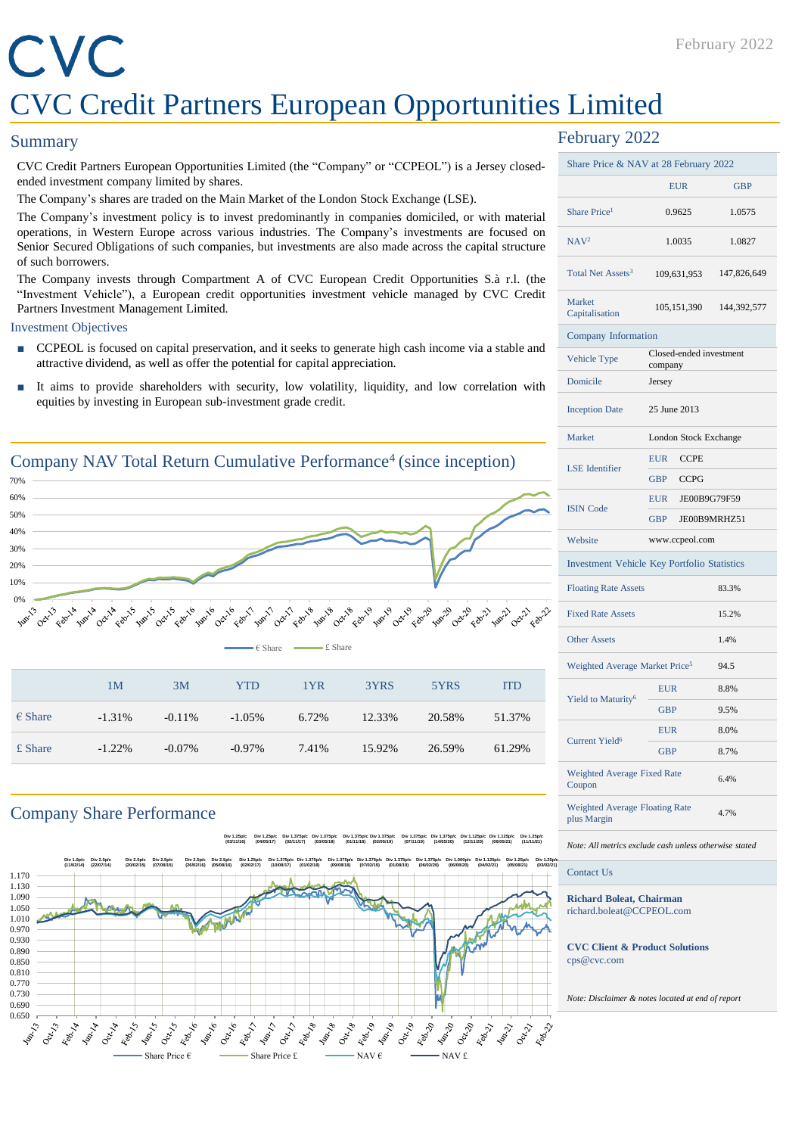## CVC CVC Credit Partners European Opportunities Limited

#### **Summary**

CVC Credit Partners European Opportunities Limited (the "Company" or "CCPEOL") is a Jersey closedended investment company limited by shares.

The Company's shares are traded on the Main Market of the London Stock Exchange (LSE).

The Company's investment policy is to invest predominantly in companies domiciled, or with material operations, in Western Europe across various industries. The Company's investments are focused on Senior Secured Obligations of such companies, but investments are also made across the capital structure of such borrowers.

The Company invests through Compartment A of CVC European Credit Opportunities S.à r.l. (the "Investment Vehicle"), a European credit opportunities investment vehicle managed by CVC Credit Partners Investment Management Limited.

#### Investment Objectives

- CCPEOL is focused on capital preservation, and it seeks to generate high cash income via a stable and attractive dividend, as well as offer the potential for capital appreciation.
- It aims to provide shareholders with security, low volatility, liquidity, and low correlation with equities by investing in European sub-investment grade credit.



£ Share -1.22% -0.07% -0.97% 7.41% 15.92% 26.59% 61.29%

#### Company Share Performance

**Div 1.25p/c (03/11/16) Div 1.25p/c (04/05/17) Div 1.375p/c (02/11/17) Div 1.375p/c (03/05/18) Div 1.375p/c (01/11/18) Div 1.375p/c (02/05/19) Div 1.375p/c (07/11/19) Div 1.375p/c (14/05/20) Div 1.125p/c (12/11/20) Div 1.125p/c (06/05/21) Div 1.25p/c (11/11/21)**



#### February 2022

| Share Price & NAV at 28 February 2022                |                                    |              |
|------------------------------------------------------|------------------------------------|--------------|
|                                                      | <b>EUR</b>                         | <b>GBP</b>   |
| Share Price <sup>1</sup>                             | 0.9625                             | 1.0575       |
| NAV <sup>2</sup>                                     | 1.0035                             | 1.0827       |
| Total Net Assets <sup>3</sup>                        | 109,631,953                        | 147,826,649  |
| Market<br>Capitalisation                             | 105, 151, 390                      | 144,392,577  |
| Company Information                                  |                                    |              |
| Vehicle Type                                         | Closed-ended investment<br>company |              |
| Domicile                                             | Jersey                             |              |
| <b>Inception Date</b>                                | 25 June 2013                       |              |
| Market                                               | London Stock Exchange              |              |
| <b>LSE</b> Identifier                                | <b>EUR</b><br><b>CCPE</b>          |              |
|                                                      | <b>GBP</b><br><b>CCPG</b>          |              |
| <b>ISIN Code</b>                                     | <b>EUR</b>                         | JE00B9G79F59 |
|                                                      | GBP<br>JE00B9MRHZ51                |              |
| Website                                              | www.ccpeol.com                     |              |
| <b>Investment Vehicle Key Portfolio Statistics</b>   |                                    |              |
| <b>Floating Rate Assets</b>                          |                                    | 83.3%        |
| <b>Fixed Rate Assets</b>                             |                                    | 15.2%        |
| <b>Other Assets</b>                                  |                                    | 1.4%         |
| Weighted Average Market Price <sup>5</sup>           |                                    | 94.5         |
| Yield to Maturity <sup>6</sup>                       | <b>EUR</b>                         | 8.8%         |
|                                                      | <b>GBP</b><br>9.5%                 |              |
| <b>Current Yield<sup>6</sup></b>                     | <b>EUR</b>                         | 8.0%         |
|                                                      | <b>GBP</b>                         | 8.7%         |
| Weighted Average Fixed Rate<br>Coupon                |                                    | 6.4%         |
| <b>Weighted Average Floating Rate</b><br>plus Margin |                                    | 4.7%         |

#### *Note: All metrics exclude cash unless otherwise stated*

Contact Us

**Richard Boleat, Chairman** richard.boleat@CCPEOL.com

**CVC Client & Product Solutions** cps@cvc.com

*Note: Disclaimer & notes located at end of report*

February 2022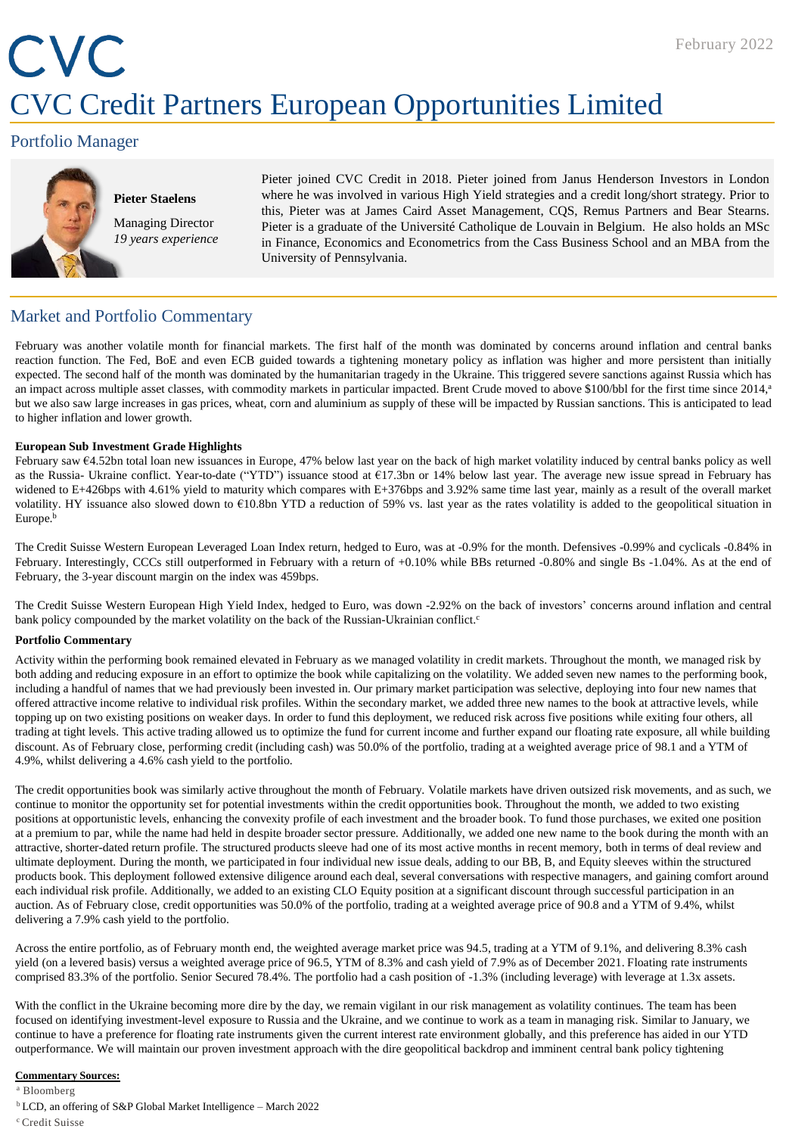## CVC CVC Credit Partners European Opportunities Limited

#### Portfolio Manager



#### **Pieter Staelens** Managing Director *19 years experience*

Pieter joined CVC Credit in 2018. Pieter joined from Janus Henderson Investors in London where he was involved in various High Yield strategies and a credit long/short strategy. Prior to this, Pieter was at James Caird Asset Management, CQS, Remus Partners and Bear Stearns. Pieter is a graduate of the Université Catholique de Louvain in Belgium. He also holds an MSc in Finance, Economics and Econometrics from the Cass Business School and an MBA from the University of Pennsylvania.

#### Market and Portfolio Commentary

February was another volatile month for financial markets. The first half of the month was dominated by concerns around inflation and central banks reaction function. The Fed, BoE and even ECB guided towards a tightening monetary policy as inflation was higher and more persistent than initially expected. The second half of the month was dominated by the humanitarian tragedy in the Ukraine. This triggered severe sanctions against Russia which has an impact across multiple asset classes, with commodity markets in particular impacted. Brent Crude moved to above \$100/bbl for the first time since 2014, a but we also saw large increases in gas prices, wheat, corn and aluminium as supply of these will be impacted by Russian sanctions. This is anticipated to lead to higher inflation and lower growth.

#### **European Sub Investment Grade Highlights**

February saw €4.52bn total loan new issuances in Europe, 47% below last year on the back of high market volatility induced by central banks policy as well as the Russia- Ukraine conflict. Year-to-date ("YTD") issuance stood at €17.3bn or 14% below last year. The average new issue spread in February has widened to E+426bps with 4.61% yield to maturity which compares with E+376bps and 3.92% same time last year, mainly as a result of the overall market volatility. HY issuance also slowed down to €10.8bn YTD a reduction of 59% vs. last year as the rates volatility is added to the geopolitical situation in Europe.<sup>b</sup>

The Credit Suisse Western European Leveraged Loan Index return, hedged to Euro, was at -0.9% for the month. Defensives -0.99% and cyclicals -0.84% in February. Interestingly, CCCs still outperformed in February with a return of +0.10% while BBs returned -0.80% and single Bs -1.04%. As at the end of February, the 3-year discount margin on the index was 459bps.

The Credit Suisse Western European High Yield Index, hedged to Euro, was down -2.92% on the back of investors' concerns around inflation and central bank policy compounded by the market volatility on the back of the Russian-Ukrainian conflict.<sup>c</sup>

#### **Portfolio Commentary**

Activity within the performing book remained elevated in February as we managed volatility in credit markets. Throughout the month, we managed risk by both adding and reducing exposure in an effort to optimize the book while capitalizing on the volatility. We added seven new names to the performing book, including a handful of names that we had previously been invested in. Our primary market participation was selective, deploying into four new names that offered attractive income relative to individual risk profiles. Within the secondary market, we added three new names to the book at attractive levels, while topping up on two existing positions on weaker days. In order to fund this deployment, we reduced risk across five positions while exiting four others, all trading at tight levels. This active trading allowed us to optimize the fund for current income and further expand our floating rate exposure, all while building discount. As of February close, performing credit (including cash) was 50.0% of the portfolio, trading at a weighted average price of 98.1 and a YTM of 4.9%, whilst delivering a 4.6% cash yield to the portfolio.

The credit opportunities book was similarly active throughout the month of February. Volatile markets have driven outsized risk movements, and as such, we continue to monitor the opportunity set for potential investments within the credit opportunities book. Throughout the month, we added to two existing positions at opportunistic levels, enhancing the convexity profile of each investment and the broader book. To fund those purchases, we exited one position at a premium to par, while the name had held in despite broader sector pressure. Additionally, we added one new name to the book during the month with an attractive, shorter-dated return profile. The structured products sleeve had one of its most active months in recent memory, both in terms of deal review and ultimate deployment. During the month, we participated in four individual new issue deals, adding to our BB, B, and Equity sleeves within the structured products book. This deployment followed extensive diligence around each deal, several conversations with respective managers, and gaining comfort around each individual risk profile. Additionally, we added to an existing CLO Equity position at a significant discount through successful participation in an auction. As of February close, credit opportunities was 50.0% of the portfolio, trading at a weighted average price of 90.8 and a YTM of 9.4%, whilst delivering a 7.9% cash yield to the portfolio.

Across the entire portfolio, as of February month end, the weighted average market price was 94.5, trading at a YTM of 9.1%, and delivering 8.3% cash yield (on a levered basis) versus a weighted average price of 96.5, YTM of 8.3% and cash yield of 7.9% as of December 2021. Floating rate instruments comprised 83.3% of the portfolio. Senior Secured 78.4%. The portfolio had a cash position of -1.3% (including leverage) with leverage at 1.3x assets.

With the conflict in the Ukraine becoming more dire by the day, we remain vigilant in our risk management as volatility continues. The team has been focused on identifying investment-level exposure to Russia and the Ukraine, and we continue to work as a team in managing risk. Similar to January, we continue to have a preference for floating rate instruments given the current interest rate environment globally, and this preference has aided in our YTD outperformance. We will maintain our proven investment approach with the dire geopolitical backdrop and imminent central bank policy tightening

#### **Commentary Sources:**

<sup>a</sup> Bloomberg

- <sup>b</sup>LCD, an offering of S&P Global Market Intelligence March 2022
- <sup>c</sup> Credit Suisse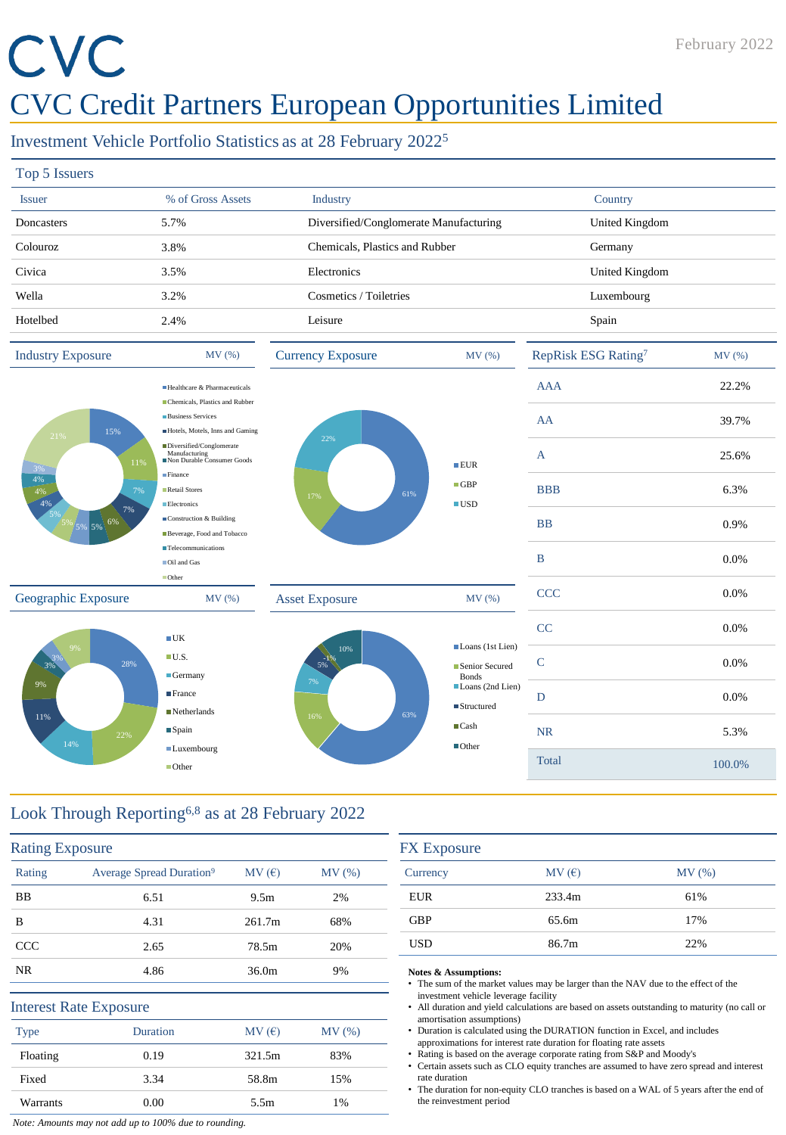# CVC

### CVC Credit Partners European Opportunities Limited

#### Investment Vehicle Portfolio Statistics as at 28 February 2022<sup>5</sup>

| Top 5 Issuers                                |                                                                         |                                        |                    |                                 |        |
|----------------------------------------------|-------------------------------------------------------------------------|----------------------------------------|--------------------|---------------------------------|--------|
| <b>Issuer</b>                                | % of Gross Assets                                                       | Industry                               |                    | Country                         |        |
| Doncasters                                   | 5.7%                                                                    | Diversified/Conglomerate Manufacturing |                    | United Kingdom                  |        |
| Colouroz                                     | 3.8%                                                                    | Chemicals, Plastics and Rubber         |                    | Germany                         |        |
| Civica                                       | 3.5%                                                                    | Electronics                            |                    | United Kingdom                  |        |
| Wella                                        | 3.2%                                                                    | Cosmetics / Toiletries                 |                    | Luxembourg                      |        |
| Hotelbed                                     | 2.4%                                                                    | Leisure                                |                    | Spain                           |        |
| <b>Industry Exposure</b>                     | MV(%)                                                                   | <b>Currency Exposure</b>               | MV(%)              | RepRisk ESG Rating <sup>7</sup> | MV (%) |
|                                              | Healthcare & Pharmaceuticals<br>Chemicals, Plastics and Rubber          |                                        |                    | <b>AAA</b>                      | 22.2%  |
| 15%<br>21%<br>11%<br>$3\%$<br>4%<br>7%<br>4% | <b>Business Services</b><br>Hotels, Motels, Inns and Gaming             |                                        |                    | AA                              | 39.7%  |
|                                              | Diversified/Conglomerate<br>Manufacturing<br>Non Durable Consumer Goods | 22%<br>61%<br>17%                      | EIR                | A                               | 25.6%  |
|                                              | Finance<br>Retail Stores                                                |                                        | $\Box$ GBP         | <b>BBB</b>                      | 6.3%   |
| 4%<br>7%<br>5% 5% 6%                         | Electronics<br>Construction & Building<br>Beverage, Food and Tobacco    |                                        | $\blacksquare$ USD | <b>BB</b>                       | 0.9%   |



**Telecommunications** Oil and Gas **Other** 







#### Look Through Reporting6,8 as at 28 February 2022

| <b>Rating Exposure</b> |                                      |                  |        |
|------------------------|--------------------------------------|------------------|--------|
| Rating                 | Average Spread Duration <sup>9</sup> | MV(E)            | MV (%) |
| BB                     | 6.51                                 | 9.5 <sub>m</sub> | 2%     |
| B                      | 4.31                                 | 261.7m           | 68%    |
| <b>CCC</b>             | 2.65                                 | 78.5m            | 20%    |
| NR.                    | 4.86                                 | 36.0m            | 9%     |
|                        | <b>Interest Rate Exposure</b>        |                  |        |
| <b>Type</b>            | Duration                             | MV(E)            | MV(%)  |
| Floating               | 0.19                                 | 321.5m           | 83%    |
| Fixed                  | 3.34                                 | 58.8m            | 15%    |
| Warrants               | 0.00                                 | 5.5m             | 1%     |

| MV(E)<br>Currency<br><b>EUR</b><br>233.4m<br><b>GBP</b><br>65.6m<br><b>USD</b> | <b>FX</b> Exposure |       |       |
|--------------------------------------------------------------------------------|--------------------|-------|-------|
|                                                                                |                    |       | MV(%) |
|                                                                                |                    |       | 61%   |
|                                                                                |                    |       | 17%   |
|                                                                                |                    | 86.7m | 22%   |

B 0.0%

CCC 0.0%

#### **Notes & Assumptions:**

- The sum of the market values may be larger than the NAV due to the effect of the investment vehicle leverage facility
- All duration and yield calculations are based on assets outstanding to maturity (no call or amortisation assumptions)
- Duration is calculated using the DURATION function in Excel, and includes approximations for interest rate duration for floating rate assets
- Rating is based on the average corporate rating from S&P and Moody's
- Certain assets such as CLO equity tranches are assumed to have zero spread and interest rate duration
- The duration for non-equity CLO tranches is based on a WAL of 5 years after the end of the reinvestment period

*Note: Amounts may not add up to 100% due to rounding.*